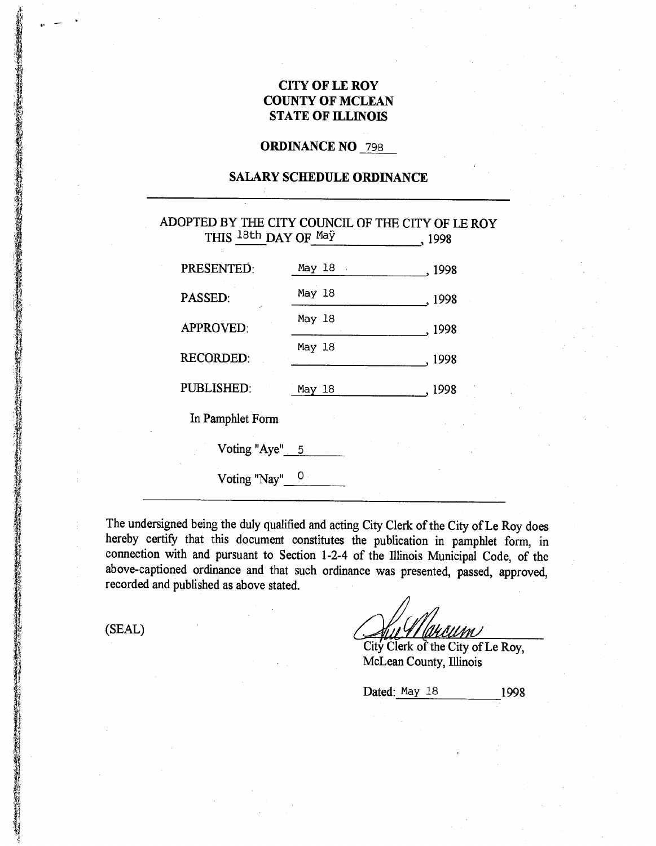## **CITY OF LE ROY COUNTY OF MCLEAN STATE OF ILLINOIS**

# **ORDINANCE NO** 798

## **SALARY SCHEDULE ORDINANCE**

## ADOPTED BY THE CITY COUNCIL OF THE CITY OF LE ROY THIS <sup>18th</sup> DAY OF  $\frac{Mq\tilde{Y}}{q}$ , 1998

| May 18 . | .1998          |
|----------|----------------|
| May 18   | , 1998         |
| May 18   | 1998           |
| May 18   | , 1998         |
| May 18   | . 1998         |
|          |                |
|          |                |
|          |                |
|          | Voting "Aye" 5 |

The undersigned being the duly qualified and acting City Clerk of the City of Le Roy does hereby certify that this document constitutes the publication in pamphlet form, in connection with and pursuant to Section 1-2-4 of the Illinois Municipal Code, of the above-captioned ordinance and that such ordinance was presented, passed, approved, recorded and published as above stated.

(SEAL)

rn I

City Clerk of the City of Le Roy, McLean County, Illinois

Dated: May 18 1998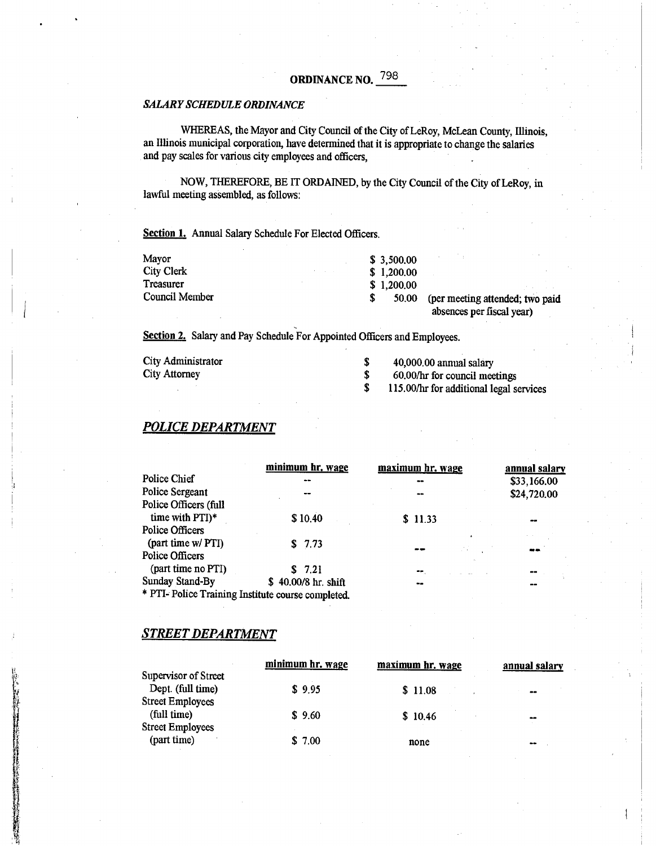# ORDINANCE NO. 798

#### *SALARY SCHEDULE ORDINANCE*

WHEREAS, the Mayor and City Council of the City of LeRoy, McLean County, Illinois, an Illinois municipal corporation, have determined that it is appropriate to change the salaries and pay scales for various city employees and officers,

NOW, THEREFORE, BE IT ORDAINED, by the City Council of the City of LeRoy, in lawful meeting assembled, as follows:

Section 1. Annual Salary Schedule For Elected Officers.

| Mayor             | \$3,500,00 |                                 |
|-------------------|------------|---------------------------------|
| <b>City Clerk</b> | \$1,200,00 |                                 |
| Treasurer         | \$1,200,00 |                                 |
| Council Member    | 50.00      | (per meeting attended; two paid |
|                   |            | absences per fiscal year)       |

Section 2. Salary and Pay Schedule For Appointed Officers and Employees.

| City Administrator   | 40,000.00 annual salary                 |
|----------------------|-----------------------------------------|
| <b>City Attorney</b> | 60.00/hr for council meetings           |
|                      | 115.00/hr for additional legal services |

### *POLICE DEPARTMENT*

|                                                    | minimum hr. wage    | maximum hr. wage | annual salary |
|----------------------------------------------------|---------------------|------------------|---------------|
| Police Chief                                       |                     | --               | \$33,166.00   |
| Police Sergeant                                    |                     | $\sim$           | \$24,720.00   |
| Police Officers (full                              |                     |                  |               |
| time with PTI)*                                    | \$10,40             | \$11.33          |               |
| Police Officers                                    |                     |                  |               |
| (part time w/ PTI)                                 | \$7.73              |                  |               |
| Police Officers                                    |                     |                  |               |
| (part time no PTI)                                 | \$7.21              | ⊷.               | --            |
| Sunday Stand-By                                    | \$40.00/8 hr. shift |                  | --            |
| * PTI- Police Training Institute course completed. |                     |                  |               |

### *STREET DEPARTMENT*

|    |                                                                      | minimum hr. wage | maximum hr. wage | annual salary    |
|----|----------------------------------------------------------------------|------------------|------------------|------------------|
| j. | Supervisor of Street<br>Dept. (full time)<br><b>Street Employees</b> | \$9.95           | \$11.08          | $\bullet\bullet$ |
|    | (full time)<br><b>Street Employees</b>                               | \$9.60           | \$10.46          | $\bullet\bullet$ |
|    | (part time)                                                          | \$7.00           | none             | $- -$            |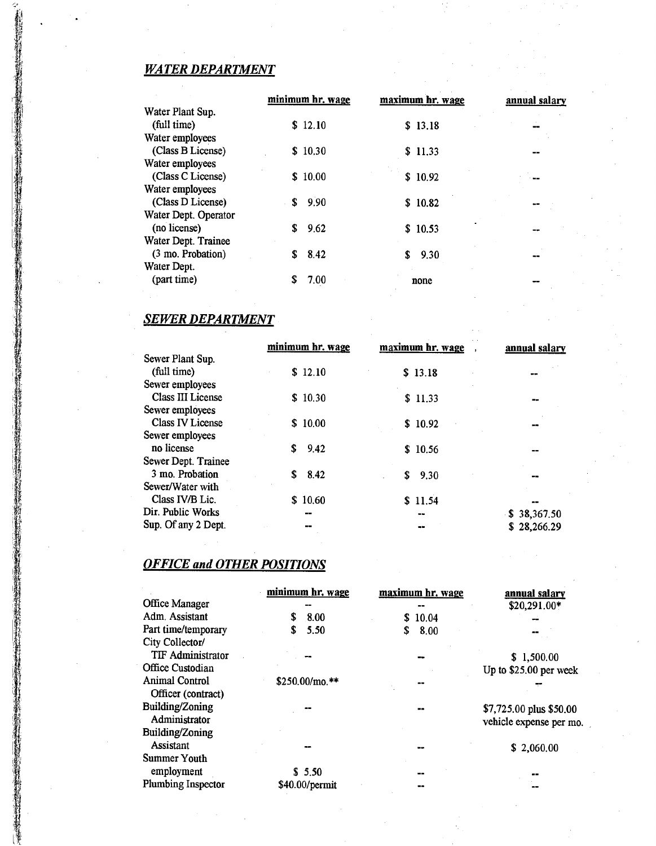# *WATER DEPARTMENT*

|                      | minimum hr. wage | maximum hr. wage | annual salary |
|----------------------|------------------|------------------|---------------|
| Water Plant Sup.     |                  |                  |               |
| (full time)          | \$12.10          | \$13.18          |               |
| Water employees      |                  |                  |               |
| (Class B License)    | \$10.30          | \$11.33          |               |
| Water employees      |                  |                  |               |
| (Class C License)    | \$10.00          | \$10.92          |               |
| Water employees      |                  |                  |               |
| (Class D License)    | 9.90<br>S.       | \$10.82          |               |
| Water Dept. Operator |                  |                  |               |
| (no license)         | 9.62<br>S        | \$10.53          |               |
| Water Dept. Trainee  |                  |                  |               |
| (3 mo. Probation)    | 8.42<br>S        | 9.30<br>S        |               |
| Water Dept.          |                  |                  |               |
| (part time)          | 7.00             | none             |               |
|                      |                  |                  |               |

# *SEWER DEPARTMENT*

|                          | minimum hr. wage | maximum hr. wage | annual salary |
|--------------------------|------------------|------------------|---------------|
| Sewer Plant Sup.         |                  |                  |               |
| (full time)              | \$12.10          | \$13.18          | --            |
| Sewer employees          |                  |                  |               |
| <b>Class III License</b> | \$10.30          | \$11.33          |               |
| Sewer employees          |                  |                  |               |
| <b>Class IV License</b>  | \$10.00          | \$10.92          |               |
| Sewer employees          |                  |                  |               |
| no license               | S<br>9.42        | \$10.56          |               |
| Sewer Dept. Trainee      |                  |                  |               |
| 3 mo. Probation          | \$<br>8.42       | 9.30<br>S        |               |
| Sewer/Water with         |                  |                  |               |
| Class IV/B Lic.          | \$10.60          | \$11.54          |               |
| Dir. Public Works        | --               | <b>MAG</b>       | \$38,367.50   |
| Sup. Of any 2 Dept.      |                  |                  | \$28,266.29   |

# *OFFICE and OTHER POSITIONS*

|                          | minimum hr. wage | maximum hr. wage | annual salary           |
|--------------------------|------------------|------------------|-------------------------|
| Office Manager           |                  |                  | \$20,291.00*            |
| Adm. Assistant           | 8.00<br>S.       | 10.04<br>S.      | --                      |
| Part time/temporary      | 5.50<br>S        | 8.00<br>\$       |                         |
| City Collector/          |                  |                  |                         |
| <b>TIF Administrator</b> |                  |                  | \$1,500.00              |
| Office Custodian         |                  |                  | Up to \$25.00 per week  |
| <b>Animal Control</b>    | $$250.00/m$ o.** |                  |                         |
| Officer (contract)       |                  |                  |                         |
| Building/Zoning          |                  |                  | \$7,725.00 plus \$50.00 |
| Administrator            |                  |                  | vehicle expense per mo. |
| Building/Zoning          |                  |                  |                         |
| Assistant                |                  |                  | \$2,060.00              |
| Summer Youth             |                  |                  |                         |
| employment               | \$5.50           | --               |                         |
| Plumbing Inspector       | \$40.00/permit   |                  |                         |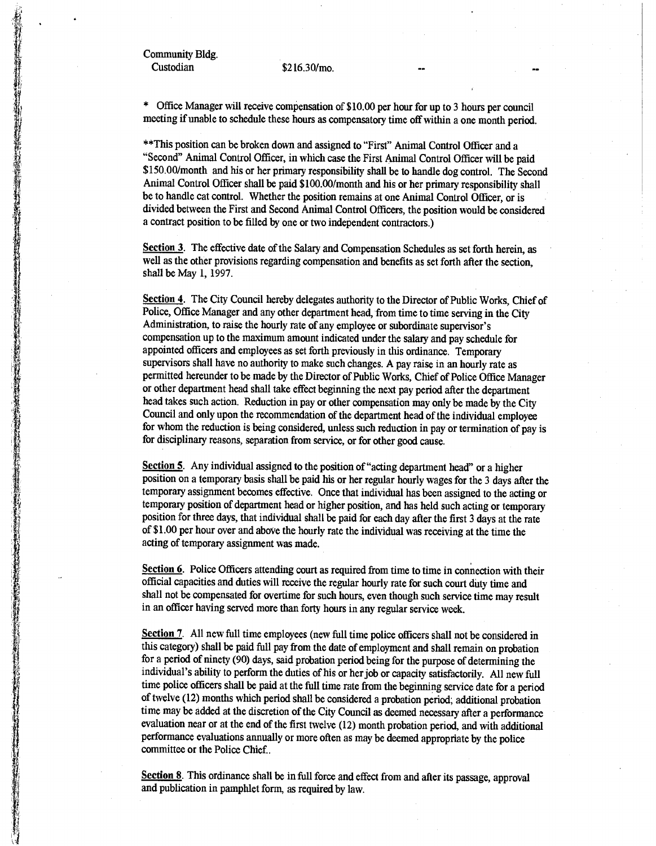Community Bldg. Custodian \$216.30/mo.

\* Office Manager will receive compensation of \$10.00 per hour for up to 3 hours per council meeting if unable to schedule these hours as compensatory time off within a one month period.

\*\*This position can be broken down and assigned to "First" Animal Control Officer and a "Second" Animal Control Officer, in which case the First Animal Control Officer will be paid \$150.00/month and his or her primary responsibility shall be to handle dog control. The Second Animal Control Officer shall be paid \$100.00/month and his or her primary responsibility shall be to handle cat control. Whether the position remains at one Animal Control Officer, or is divided between the First and Second Animal Control Officers, the position would be considered a contract position to be filled by one or two independent contractors.)

**Section 3.** The effective date of the Salary and Compensation Schedules as set forth herein, as well as the other provisions regarding compensation and benefits as set forth after the section, shall be May 1, 1997.

**Section 4.** The City Council hereby delegates authority to the Director of Public Works, Chief of Police, Office Manager and any other department head, from time to time serving in the City Administration, to raise the hourly rate of any employee or subordinate supervisor's compensation up to the maximum amount indicated under the salary and pay schedule for appointed officers and employees as set forth previously in this ordinance. Temporary supervisors shall have no authority to make such changes. A pay raise in an hourly rate as permitted hereunder to be made by the Director of Public Works, Chief of Police Office Manager or other department head shall take effect beginning the next pay period after the department head takes such action. Reduction in pay or other compensation may only be made by the City Council and only upon the recommendation of the department head of the individual employee for whom the reduction is being considered, unless such reduction in pay or termination of pay is for disciplinary reasons, separation from service, or for other good cause.

Section 5. Any individual assigned to the position of "acting department head" or a higher position on a temporary basis shall be paid his or her regular hourly wages for the 3 days after the temporary assignment becomes effective. Once that individual has been assigned to the acting or temporary position of department head or higher position, and has held such acting or temporary position for three days, that individual shall be paid for each day after the first 3 days at the rate of \$1.00 per hour over and above the hourly rate the individual was receiving at the time the acting of temporary assignment was made.

Section 6. Police Officers attending court as required from time to time in connection with their official capacities and duties will receive the regular hourly rate for such court duty time and shall not be compensated for overtime for such hours, even though such service time may result in an officer having served more than forty hours in any regular service week.

**Section** 7. All new full time employees (new full time police officers shall not be considered in this category) shall be paid full pay from the date of employment and shall remain on probation for a period of ninety (90) days, said probation period being for the purpose of determining the individual's ability to perform the duties of his or her job or capacity satisfactorily. All new full time police officers shall be paid at the full time rate from the beginning service date for a period of twelve (12) months which period shall be considered a probation period; additional probation time may be added at the discretion of the City Council as deemed necessary after a performance evaluation near or at the end of the first twelve (12) month probation period, and with additional performance evaluations annually or more often as may be deemed appropriate by the police committee or the Police Chief..

**Section 8.** This ordinance shall be in full force and effect from and after its passage, approval and publication in pamphlet form, as required by law.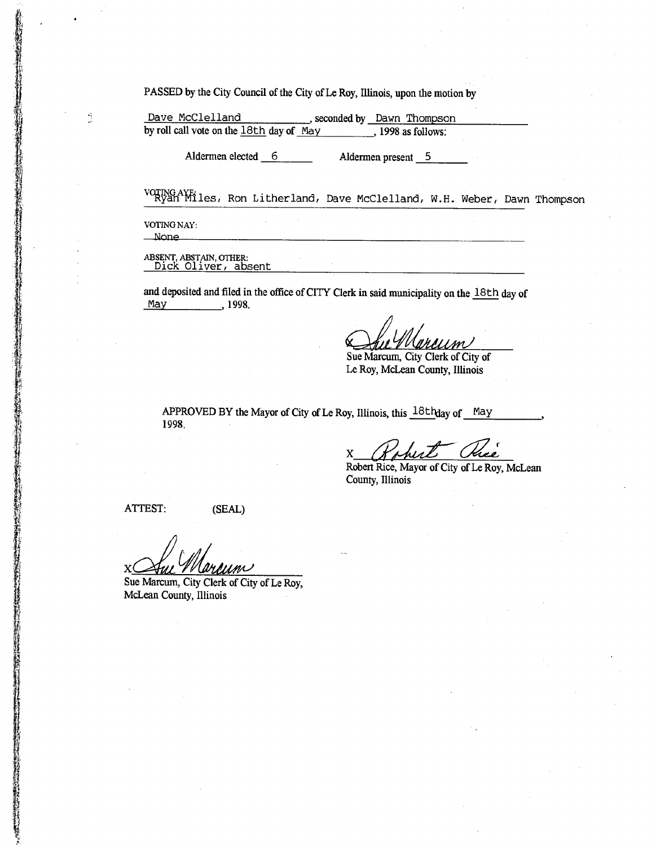PASSED by the City Council of the City of Le Roy, Illinois, upon the motion by

Dave McClelland seconded by Dawn Thompson by roll call vote on the  $18th$  day of May , 1998 as follows:

Aldermen elected 6 Aldermen present 5

vorng AViles, Ron Litherland, Dave McClelland, W.H. Weber, Dawn Thompson

VOTING NAY: **None** 

Ď

ABSENT, ABSTAIN, OTHER: Dick Oliver, absent

and deposited and filed in the office of CITY Clerk in said municipality on the 18th day of May 1998.

**C~&~**  Sue Marcum, City Clerk of City of

Le Roy, McLean County, Illinois

APPROVED BY the Mayor of City of Le Roy, Illinois, this  $18th$ day of May 1998.

X

Robert Rice, Mayor of City of Le Roy, McLean County, Illinois

ATTEST: (SEAL)

X

Sue Marcum, City Clerk of City of Le Roy, McLean County, Illinois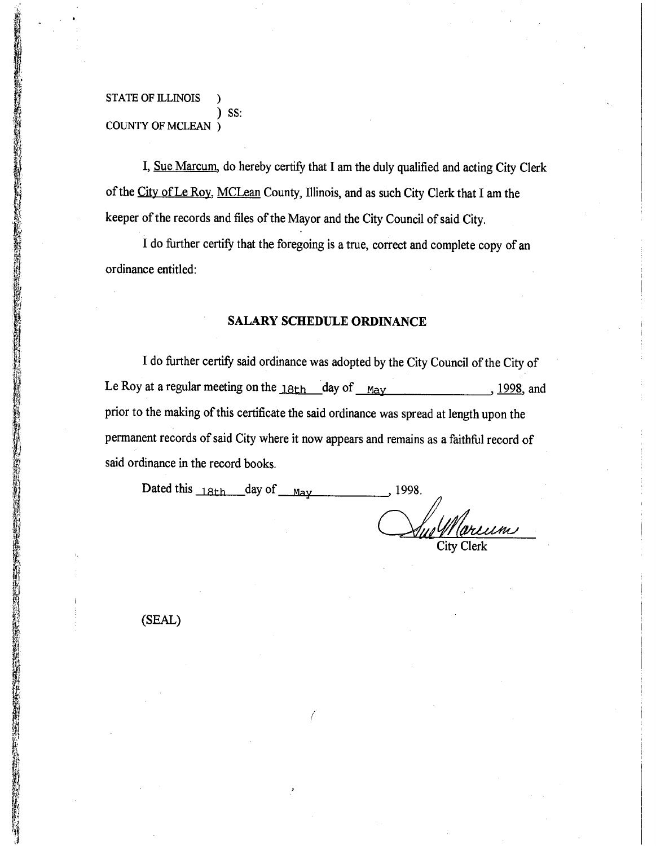STATE OF ILLINOIS ) SS: COUNTY OF MCLEAN )

I, Sue Marcum, do hereby certify that I am the duly qualified and acting City Clerk of the City of Le Roy, MCLean County, Illinois, and as such City Clerk that I am the keeper of the records and files of the Mayor and the City Council of said City.

I do further certify that the foregoing is a true, correct and complete copy of an ordinance entitled:

## **SALARY SCHEDULE ORDINANCE**

I do further certify said ordinance was adopted by the City Council of the City of Le Roy at a regular meeting on the  $18th$  day of  $M_{\text{day}}$ , 1998, and prior to the making of this certificate the said ordinance was spread at length upon the permanent records of said City where it now appears and remains as a faithful record of said ordinance in the record books.

Dated this  $_{18th}$  day of  $_{\text{Mav}}$  1998. City Clerk

(SEAL)

I

**など、それでは、それは、このことは、このことは、それは、そのことに、そのことに、そのことは、そのことは、そのことに、そのことは、そのことは、そのことは、このことは、そのことは、そのことは、そのことに、そのことに、そのことに、そのことに、そのことに、そのことに、そのことに、そのことに、そのことに、そのことに、そのことに、そのことに、そのことに、そのことに、そのことに、そのことに、そのことに、そのことに、そのことに、そのことに、そのこと** 

**CONTRACTOR**